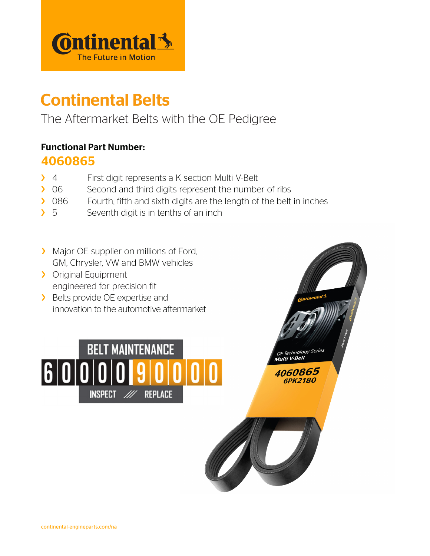

# Continental Belts

# The Aftermarket Belts with the OE Pedigree

#### Functional Part Number:

#### 4060865

- > 4 First digit represents a K section Multi V-Belt
- > 06 Second and third digits represent the number of ribs
- > 086 Fourth, fifth and sixth digits are the length of the belt in inches
- $\sum$  5 Seventh digit is in tenths of an inch
- > Major OE supplier on millions of Ford, GM, Chrysler, VW and BMW vehicles
- > Original Equipment engineered for precision fit
- > Belts provide OE expertise and innovation to the automotive aftermarket